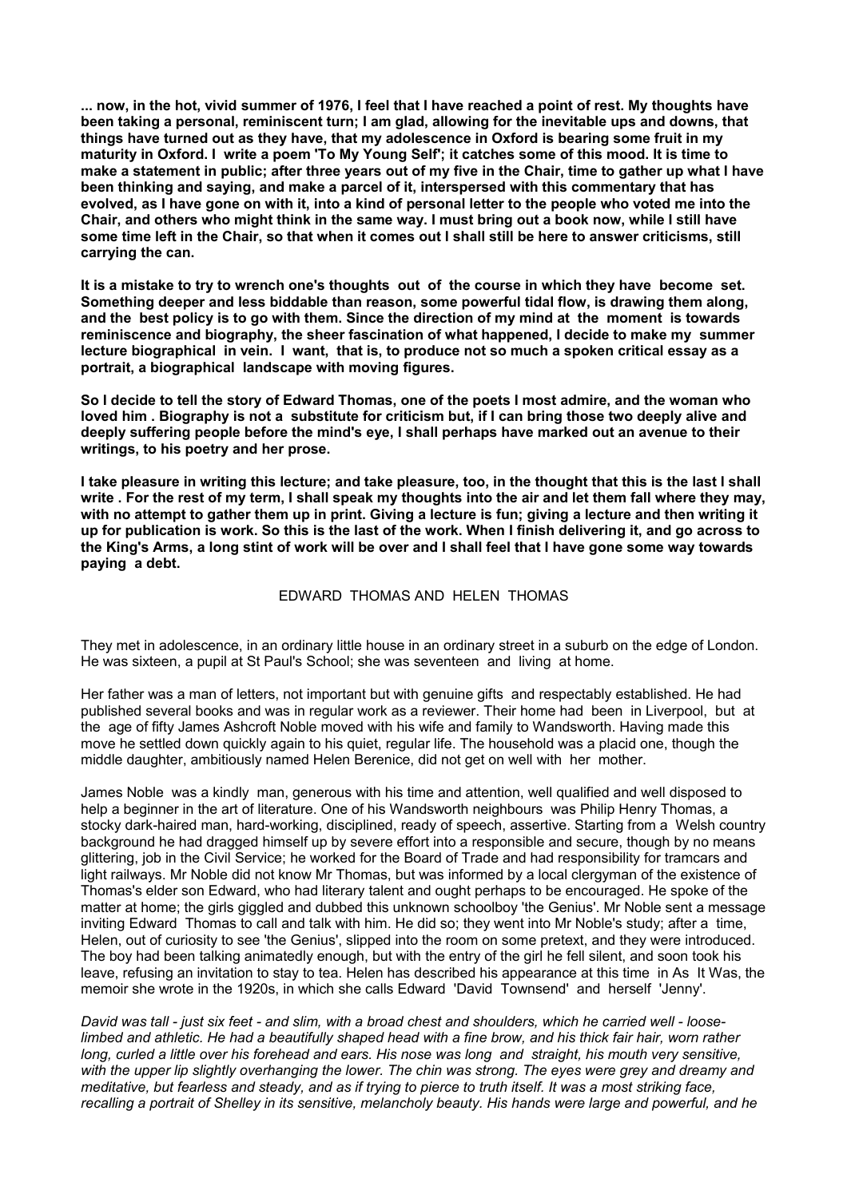**... now, in the hot, vivid summer of 1976, I feel that I have reached a point of rest. My thoughts have been taking a personal, reminiscent turn; I am glad, allowing for the inevitable ups and downs, that things have turned out as they have, that my adolescence in Oxford is bearing some fruit in my maturity in Oxford. I write a poem 'To My Young Self'; it catches some of this mood. It is time to make a statement in public; after three years out of my five in the Chair, time to gather up what I have been thinking and saying, and make a parcel of it, interspersed with this commentary that has evolved, as I have gone on with it, into a kind of personal letter to the people who voted me into the Chair, and others who might think in the same way. I must bring out a book now, while I still have some time left in the Chair, so that when it comes out I shall still be here to answer criticisms, still carrying the can.**

**It is a mistake to try to wrench one's thoughts out of the course in which they have become set. Something deeper and less biddable than reason, some powerful tidal flow, is drawing them along, and the best policy is to go with them. Since the direction of my mind at the moment is towards reminiscence and biography, the sheer fascination of what happened, I decide to make my summer lecture biographical in vein. I want, that is, to produce not so much a spoken critical essay as a portrait, a biographical landscape with moving figures.**

**So I decide to tell the story of Edward Thomas, one of the poets I most admire, and the woman who loved him . Biography is not a substitute for criticism but, if I can bring those two deeply alive and deeply suffering people before the mind's eye, I shall perhaps have marked out an avenue to their writings, to his poetry and her prose.**

**I take pleasure in writing this lecture; and take pleasure, too, in the thought that this is the last I shall write . For the rest of my term, I shall speak my thoughts into the air and let them fall where they may, with no attempt to gather them up in print. Giving a lecture is fun; giving a lecture and then writing it up for publication is work. So this is the last of the work. When I finish delivering it, and go across to the King's Arms, a long stint of work will be over and I shall feel that I have gone some way towards paying a debt.**

## EDWARD THOMAS AND HELEN THOMAS

They met in adolescence, in an ordinary little house in an ordinary street in a suburb on the edge of London. He was sixteen, a pupil at St Paul's School; she was seventeen and living at home.

Her father was a man of letters, not important but with genuine gifts and respectably established. He had published several books and was in regular work as a reviewer. Their home had been in Liverpool, but at the age of fifty James Ashcroft Noble moved with his wife and family to Wandsworth. Having made this move he settled down quickly again to his quiet, regular life. The household was a placid one, though the middle daughter, ambitiously named Helen Berenice, did not get on well with her mother.

James Noble was a kindly man, generous with his time and attention, well qualified and well disposed to help a beginner in the art of literature. One of his Wandsworth neighbours was Philip Henry Thomas, a stocky dark-haired man, hard-working, disciplined, ready of speech, assertive. Starting from a Welsh country background he had dragged himself up by severe effort into a responsible and secure, though by no means glittering, job in the Civil Service; he worked for the Board of Trade and had responsibility for tramcars and light railways. Mr Noble did not know Mr Thomas, but was informed by a local clergyman of the existence of Thomas's elder son Edward, who had literary talent and ought perhaps to be encouraged. He spoke of the matter at home; the girls giggled and dubbed this unknown schoolboy 'the Genius'. Mr Noble sent a message inviting Edward Thomas to call and talk with him. He did so; they went into Mr Noble's study; after a time, Helen, out of curiosity to see 'the Genius', slipped into the room on some pretext, and they were introduced. The boy had been talking animatedly enough, but with the entry of the girl he fell silent, and soon took his leave, refusing an invitation to stay to tea. Helen has described his appearance at this time in As It Was, the memoir she wrote in the 1920s, in which she calls Edward 'David Townsend' and herself 'Jenny'.

*David was tall - just six feet - and slim, with a broad chest and shoulders, which he carried well - looselimbed and athletic. He had a beautifully shaped head with a fine brow, and his thick fair hair, worn rather long, curled a little over his forehead and ears. His nose was long and straight, his mouth very sensitive,*  with the upper lip slightly overhanging the lower. The chin was strong. The eyes were grey and dreamy and *meditative, but fearless and steady, and as if trying to pierce to truth itself. It was a most striking face, recalling a portrait of Shelley in its sensitive, melancholy beauty. His hands were large and powerful, and he*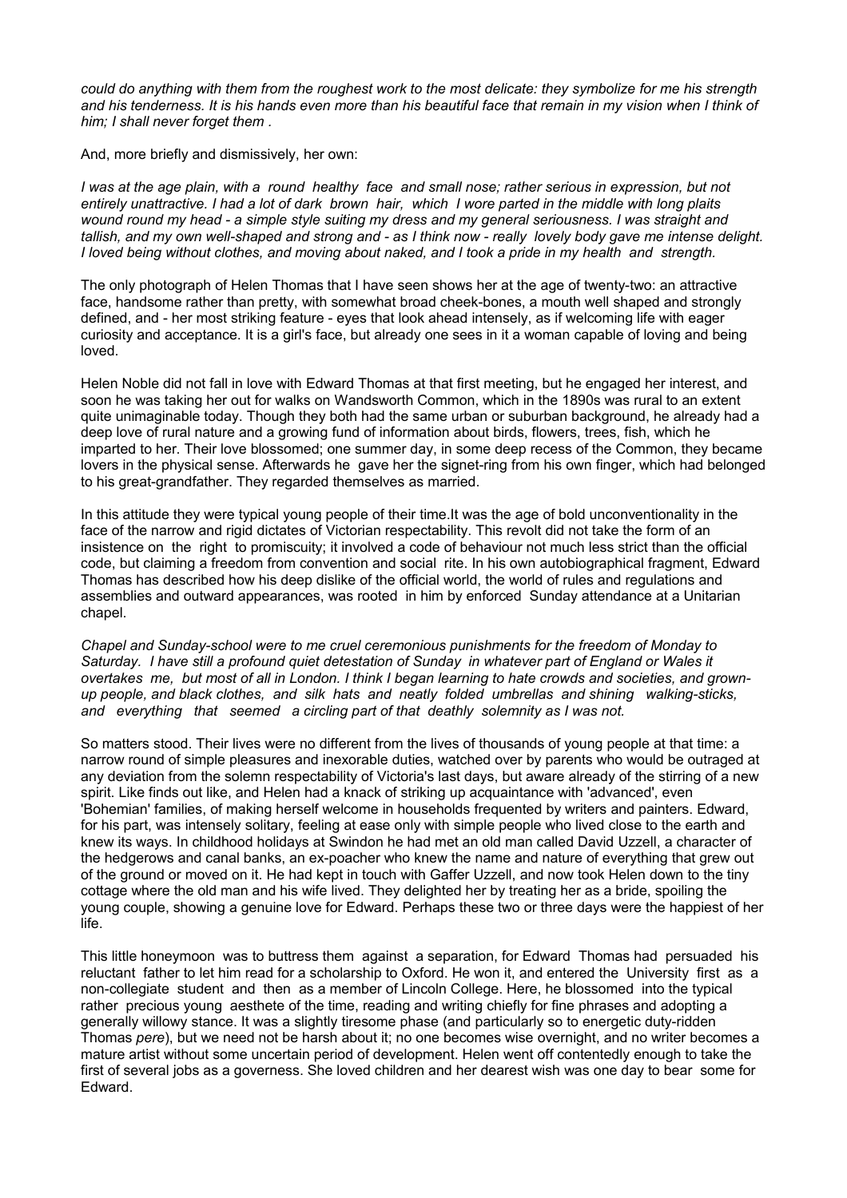*could do anything with them from the roughest work to the most delicate: they symbolize for me his strength and his tenderness. It is his hands even more than his beautiful face that remain in my vision when I think of him; I shall never forget them .*

And, more briefly and dismissively, her own:

*I* was at the age plain, with a round healthy face and small nose; rather serious in expression, but not *entirely unattractive. I had a lot of dark brown hair, which I wore parted in the middle with long plaits wound round my head - a simple style suiting my dress and my general seriousness. I was straight and tallish, and my own well-shaped and strong and - as I think now - really lovely body gave me intense delight. I loved being without clothes, and moving about naked, and I took a pride in my health and strength.*

The only photograph of Helen Thomas that I have seen shows her at the age of twenty-two: an attractive face, handsome rather than pretty, with somewhat broad cheek-bones, a mouth well shaped and strongly defined, and - her most striking feature - eyes that look ahead intensely, as if welcoming life with eager curiosity and acceptance. It is a girl's face, but already one sees in it a woman capable of loving and being loved.

Helen Noble did not fall in love with Edward Thomas at that first meeting, but he engaged her interest, and soon he was taking her out for walks on Wandsworth Common, which in the 1890s was rural to an extent quite unimaginable today. Though they both had the same urban or suburban background, he already had a deep love of rural nature and a growing fund of information about birds, flowers, trees, fish, which he imparted to her. Their love blossomed; one summer day, in some deep recess of the Common, they became lovers in the physical sense. Afterwards he gave her the signet-ring from his own finger, which had belonged to his great-grandfather. They regarded themselves as married.

In this attitude they were typical young people of their time.It was the age of bold unconventionality in the face of the narrow and rigid dictates of Victorian respectability. This revolt did not take the form of an insistence on the right to promiscuity; it involved a code of behaviour not much less strict than the official code, but claiming a freedom from convention and social rite. In his own autobiographical fragment, Edward Thomas has described how his deep dislike of the official world, the world of rules and regulations and assemblies and outward appearances, was rooted in him by enforced Sunday attendance at a Unitarian chapel.

*Chapel and Sunday-school were to me cruel ceremonious punishments for the freedom of Monday to Saturday. I have still a profound quiet detestation of Sunday in whatever part of England or Wales it overtakes me, but most of all in London. I think I began learning to hate crowds and societies, and grownup people, and black clothes, and silk hats and neatly folded umbrellas and shining walking-sticks, and everything that seemed a circling part of that deathly solemnity as I was not.*

So matters stood. Their lives were no different from the lives of thousands of young people at that time: a narrow round of simple pleasures and inexorable duties, watched over by parents who would be outraged at any deviation from the solemn respectability of Victoria's last days, but aware already of the stirring of a new spirit. Like finds out like, and Helen had a knack of striking up acquaintance with 'advanced', even 'Bohemian' families, of making herself welcome in households frequented by writers and painters. Edward, for his part, was intensely solitary, feeling at ease only with simple people who lived close to the earth and knew its ways. In childhood holidays at Swindon he had met an old man called David Uzzell, a character of the hedgerows and canal banks, an ex-poacher who knew the name and nature of everything that grew out of the ground or moved on it. He had kept in touch with Gaffer Uzzell, and now took Helen down to the tiny cottage where the old man and his wife lived. They delighted her by treating her as a bride, spoiling the young couple, showing a genuine love for Edward. Perhaps these two or three days were the happiest of her life.

This little honeymoon was to buttress them against a separation, for Edward Thomas had persuaded his reluctant father to let him read for a scholarship to Oxford. He won it, and entered the University first as a non-collegiate student and then as a member of Lincoln College. Here, he blossomed into the typical rather precious young aesthete of the time, reading and writing chiefly for fine phrases and adopting a generally willowy stance. It was a slightly tiresome phase (and particularly so to energetic duty-ridden Thomas *pere*), but we need not be harsh about it; no one becomes wise overnight, and no writer becomes a mature artist without some uncertain period of development. Helen went off contentedly enough to take the first of several jobs as a governess. She loved children and her dearest wish was one day to bear some for Edward.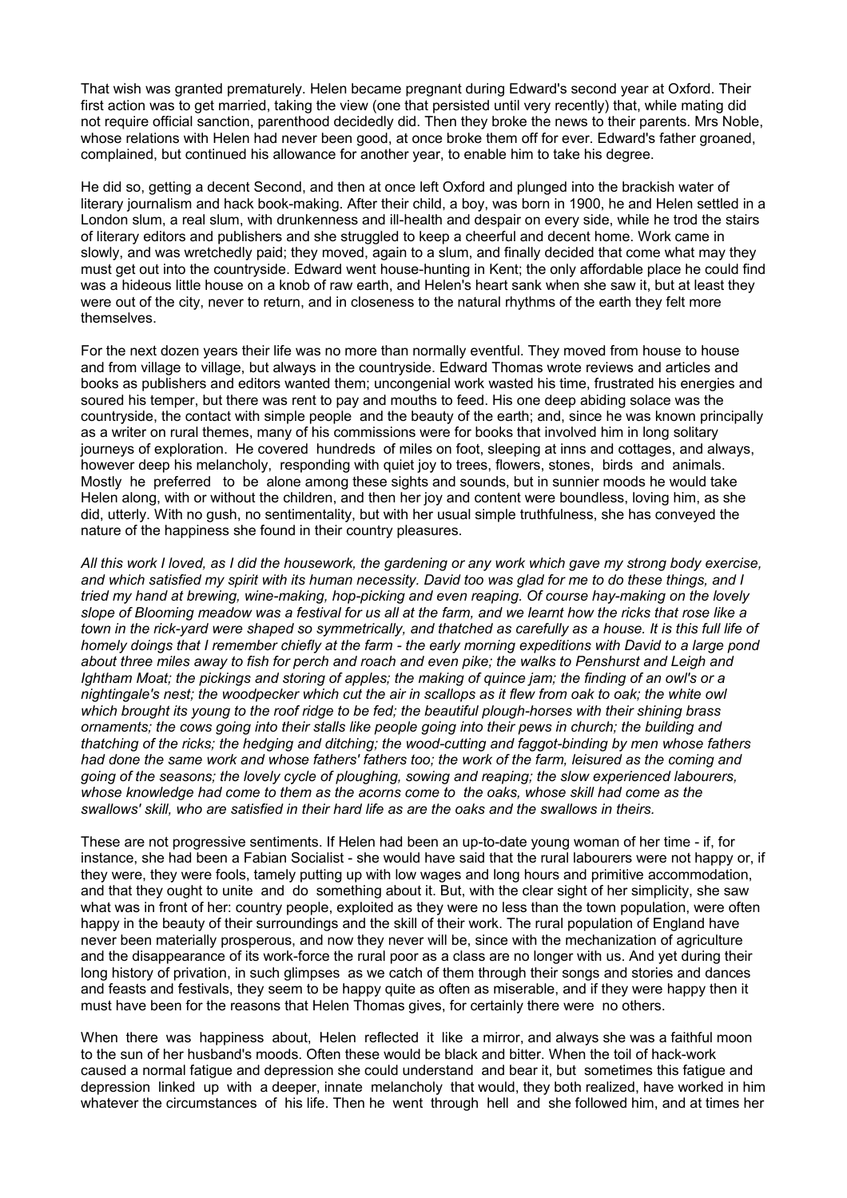That wish was granted prematurely. Helen became pregnant during Edward's second year at Oxford. Their first action was to get married, taking the view (one that persisted until very recently) that, while mating did not require official sanction, parenthood decidedly did. Then they broke the news to their parents. Mrs Noble, whose relations with Helen had never been good, at once broke them off for ever. Edward's father groaned, complained, but continued his allowance for another year, to enable him to take his degree.

He did so, getting a decent Second, and then at once left Oxford and plunged into the brackish water of literary journalism and hack book-making. After their child, a boy, was born in 1900, he and Helen settled in a London slum, a real slum, with drunkenness and ill-health and despair on every side, while he trod the stairs of literary editors and publishers and she struggled to keep a cheerful and decent home. Work came in slowly, and was wretchedly paid; they moved, again to a slum, and finally decided that come what may they must get out into the countryside. Edward went house-hunting in Kent; the only affordable place he could find was a hideous little house on a knob of raw earth, and Helen's heart sank when she saw it, but at least they were out of the city, never to return, and in closeness to the natural rhythms of the earth they felt more themselves.

For the next dozen years their life was no more than normally eventful. They moved from house to house and from village to village, but always in the countryside. Edward Thomas wrote reviews and articles and books as publishers and editors wanted them; uncongenial work wasted his time, frustrated his energies and soured his temper, but there was rent to pay and mouths to feed. His one deep abiding solace was the countryside, the contact with simple people and the beauty of the earth; and, since he was known principally as a writer on rural themes, many of his commissions were for books that involved him in long solitary journeys of exploration. He covered hundreds of miles on foot, sleeping at inns and cottages, and always, however deep his melancholy, responding with quiet joy to trees, flowers, stones, birds and animals. Mostly he preferred to be alone among these sights and sounds, but in sunnier moods he would take Helen along, with or without the children, and then her joy and content were boundless, loving him, as she did, utterly. With no gush, no sentimentality, but with her usual simple truthfulness, she has conveyed the nature of the happiness she found in their country pleasures.

*All this work I loved, as I did the housework, the gardening or any work which gave my strong body exercise, and which satisfied my spirit with its human necessity. David too was glad for me to do these things, and I tried my hand at brewing, wine-making, hop-picking and even reaping. Of course hay-making on the lovely slope of Blooming meadow was a festival for us all at the farm, and we learnt how the ricks that rose like a town in the rick-yard were shaped so symmetrically, and thatched as carefully as a house. It is this full life of homely doings that I remember chiefly at the farm - the early morning expeditions with David to a large pond about three miles away to fish for perch and roach and even pike; the walks to Penshurst and Leigh and Ightham Moat; the pickings and storing of apples; the making of quince jam; the finding of an owl's or a nightingale's nest; the woodpecker which cut the air in scallops as it flew from oak to oak; the white owl which brought its young to the roof ridge to be fed; the beautiful plough-horses with their shining brass ornaments; the cows going into their stalls like people going into their pews in church; the building and thatching of the ricks; the hedging and ditching; the wood-cutting and faggot-binding by men whose fathers had done the same work and whose fathers' fathers too; the work of the farm, leisured as the coming and going of the seasons; the lovely cycle of ploughing, sowing and reaping; the slow experienced labourers, whose knowledge had come to them as the acorns come to the oaks, whose skill had come as the swallows' skill, who are satisfied in their hard life as are the oaks and the swallows in theirs.*

These are not progressive sentiments. If Helen had been an up-to-date young woman of her time - if, for instance, she had been a Fabian Socialist - she would have said that the rural labourers were not happy or, if they were, they were fools, tamely putting up with low wages and long hours and primitive accommodation, and that they ought to unite and do something about it. But, with the clear sight of her simplicity, she saw what was in front of her: country people, exploited as they were no less than the town population, were often happy in the beauty of their surroundings and the skill of their work. The rural population of England have never been materially prosperous, and now they never will be, since with the mechanization of agriculture and the disappearance of its work-force the rural poor as a class are no longer with us. And yet during their long history of privation, in such glimpses as we catch of them through their songs and stories and dances and feasts and festivals, they seem to be happy quite as often as miserable, and if they were happy then it must have been for the reasons that Helen Thomas gives, for certainly there were no others.

When there was happiness about. Helen reflected it like a mirror, and always she was a faithful moon to the sun of her husband's moods. Often these would be black and bitter. When the toil of hack-work caused a normal fatigue and depression she could understand and bear it, but sometimes this fatigue and depression linked up with a deeper, innate melancholy that would, they both realized, have worked in him whatever the circumstances of his life. Then he went through hell and she followed him, and at times her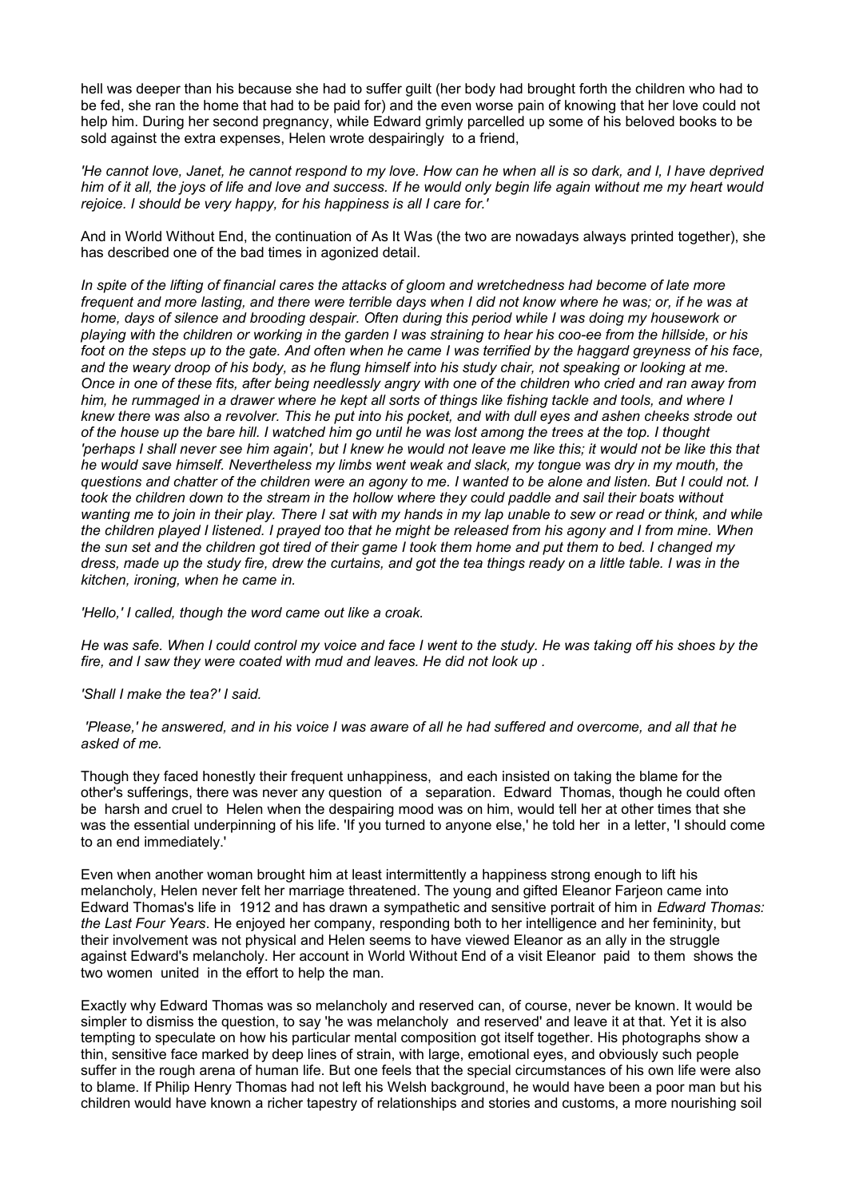hell was deeper than his because she had to suffer guilt (her body had brought forth the children who had to be fed, she ran the home that had to be paid for) and the even worse pain of knowing that her love could not help him. During her second pregnancy, while Edward grimly parcelled up some of his beloved books to be sold against the extra expenses. Helen wrote despairingly to a friend,

*'He cannot love, Janet, he cannot respond to my love. How can he when all is so dark, and I, I have deprived him of it all, the joys of life and love and success. If he would only begin life again without me my heart would rejoice. I should be very happy, for his happiness is all I care for.'*

And in World Without End, the continuation of As It Was (the two are nowadays always printed together), she has described one of the bad times in agonized detail.

*In spite of the lifting of financial cares the attacks of gloom and wretchedness had become of late more frequent and more lasting, and there were terrible days when I did not know where he was; or, if he was at home, days of silence and brooding despair. Often during this period while I was doing my housework or playing with the children or working in the garden I was straining to hear his coo-ee from the hillside, or his foot on the steps up to the gate. And often when he came I was terrified by the haggard greyness of his face, and the weary droop of his body, as he flung himself into his study chair, not speaking or looking at me. Once in one of these fits, after being needlessly angry with one of the children who cried and ran away from him, he rummaged in a drawer where he kept all sorts of things like fishing tackle and tools, and where I knew there was also a revolver. This he put into his pocket, and with dull eyes and ashen cheeks strode out of the house up the bare hill. I watched him go until he was lost among the trees at the top. I thought*  'perhaps I shall never see him again', but I knew he would not leave me like this; it would not be like this that *he would save himself. Nevertheless my limbs went weak and slack, my tongue was dry in my mouth, the questions and chatter of the children were an agony to me. I wanted to be alone and listen. But I could not. I took the children down to the stream in the hollow where they could paddle and sail their boats without wanting me to join in their play. There I sat with my hands in my lap unable to sew or read or think, and while the children played I listened. I prayed too that he might be released from his agony and I from mine. When the sun set and the children got tired of their game I took them home and put them to bed. I changed my dress, made up the study fire, drew the curtains, and got the tea things ready on a little table. I was in the kitchen, ironing, when he came in.*

*'Hello,' I called, though the word came out like a croak.*

*He was safe. When I could control my voice and face I went to the study. He was taking off his shoes by the fire, and I saw they were coated with mud and leaves. He did not look up .*

## *'Shall I make the tea?' I said.*

 *'Please,' he answered, and in his voice I was aware of all he had suffered and overcome, and all that he asked of me.*

Though they faced honestly their frequent unhappiness, and each insisted on taking the blame for the other's sufferings, there was never any question of a separation. Edward Thomas, though he could often be harsh and cruel to Helen when the despairing mood was on him, would tell her at other times that she was the essential underpinning of his life. 'If you turned to anyone else,' he told her in a letter, 'I should come to an end immediately.'

Even when another woman brought him at least intermittently a happiness strong enough to lift his melancholy, Helen never felt her marriage threatened. The young and gifted Eleanor Farjeon came into Edward Thomas's life in 1912 and has drawn a sympathetic and sensitive portrait of him in *Edward Thomas: the Last Four Years*. He enjoyed her company, responding both to her intelligence and her femininity, but their involvement was not physical and Helen seems to have viewed Eleanor as an ally in the struggle against Edward's melancholy. Her account in World Without End of a visit Eleanor paid to them shows the two women united in the effort to help the man.

Exactly why Edward Thomas was so melancholy and reserved can, of course, never be known. It would be simpler to dismiss the question, to say 'he was melancholy and reserved' and leave it at that. Yet it is also tempting to speculate on how his particular mental composition got itself together. His photographs show a thin, sensitive face marked by deep lines of strain, with large, emotional eyes, and obviously such people suffer in the rough arena of human life. But one feels that the special circumstances of his own life were also to blame. If Philip Henry Thomas had not left his Welsh background, he would have been a poor man but his children would have known a richer tapestry of relationships and stories and customs, a more nourishing soil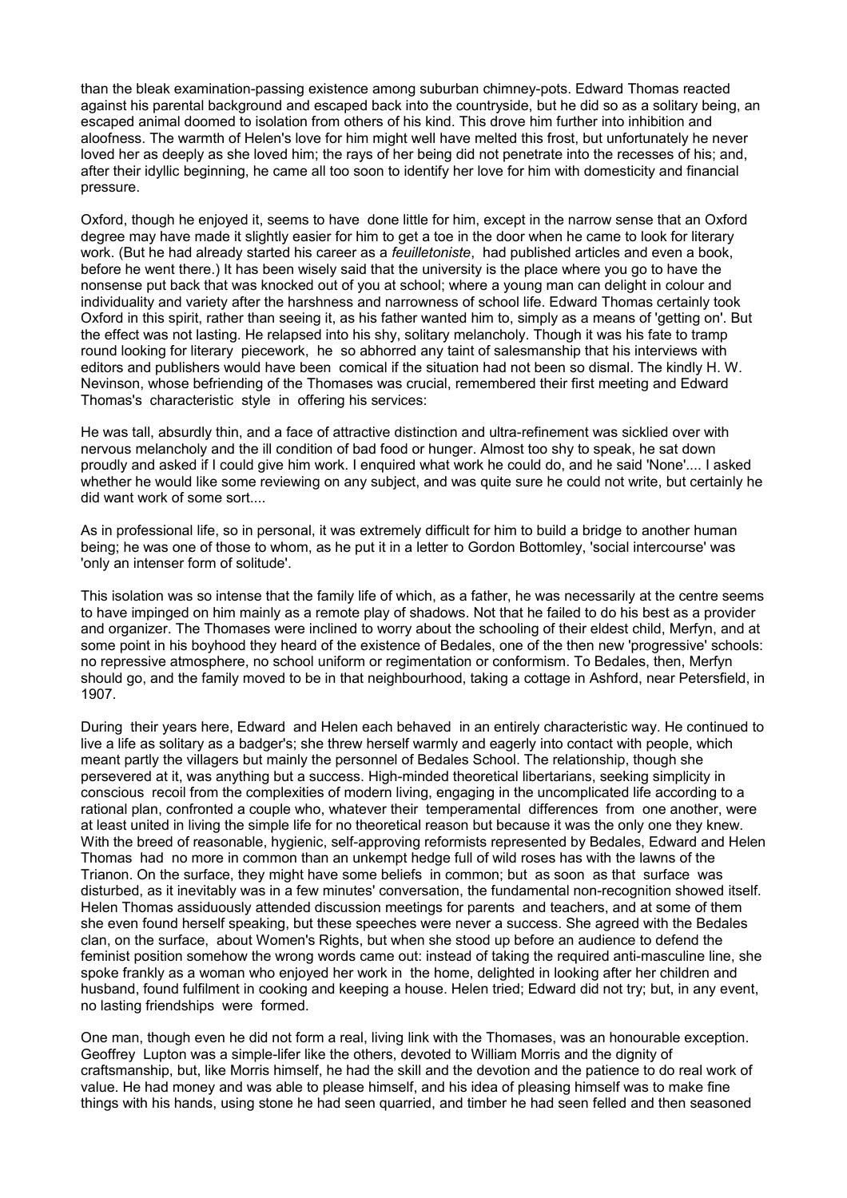than the bleak examination-passing existence among suburban chimney-pots. Edward Thomas reacted against his parental background and escaped back into the countryside, but he did so as a solitary being, an escaped animal doomed to isolation from others of his kind. This drove him further into inhibition and aloofness. The warmth of Helen's love for him might well have melted this frost, but unfortunately he never loved her as deeply as she loved him; the rays of her being did not penetrate into the recesses of his; and, after their idyllic beginning, he came all too soon to identify her love for him with domesticity and financial pressure.

Oxford, though he enjoyed it, seems to have done little for him, except in the narrow sense that an Oxford degree may have made it slightly easier for him to get a toe in the door when he came to look for literary work. (But he had already started his career as a *feuilletoniste*, had published articles and even a book, before he went there.) It has been wisely said that the university is the place where you go to have the nonsense put back that was knocked out of you at school; where a young man can delight in colour and individuality and variety after the harshness and narrowness of school life. Edward Thomas certainly took Oxford in this spirit, rather than seeing it, as his father wanted him to, simply as a means of 'getting on'. But the effect was not lasting. He relapsed into his shy, solitary melancholy. Though it was his fate to tramp round looking for literary piecework, he so abhorred any taint of salesmanship that his interviews with editors and publishers would have been comical if the situation had not been so dismal. The kindly H. W. Nevinson, whose befriending of the Thomases was crucial, remembered their first meeting and Edward Thomas's characteristic style in offering his services:

He was tall, absurdly thin, and a face of attractive distinction and ultra-refinement was sicklied over with nervous melancholy and the ill condition of bad food or hunger. Almost too shy to speak, he sat down proudly and asked if I could give him work. I enquired what work he could do, and he said 'None'.... I asked whether he would like some reviewing on any subject, and was quite sure he could not write, but certainly he did want work of some sort....

As in professional life, so in personal, it was extremely difficult for him to build a bridge to another human being; he was one of those to whom, as he put it in a letter to Gordon Bottomley, 'social intercourse' was 'only an intenser form of solitude'.

This isolation was so intense that the family life of which, as a father, he was necessarily at the centre seems to have impinged on him mainly as a remote play of shadows. Not that he failed to do his best as a provider and organizer. The Thomases were inclined to worry about the schooling of their eldest child, Merfyn, and at some point in his boyhood they heard of the existence of Bedales, one of the then new 'progressive' schools: no repressive atmosphere, no school uniform or regimentation or conformism. To Bedales, then, Merfyn should go, and the family moved to be in that neighbourhood, taking a cottage in Ashford, near Petersfield, in 1907.

During their years here, Edward and Helen each behaved in an entirely characteristic way. He continued to live a life as solitary as a badger's; she threw herself warmly and eagerly into contact with people, which meant partly the villagers but mainly the personnel of Bedales School. The relationship, though she persevered at it, was anything but a success. High-minded theoretical libertarians, seeking simplicity in conscious recoil from the complexities of modern living, engaging in the uncomplicated life according to a rational plan, confronted a couple who, whatever their temperamental differences from one another, were at least united in living the simple life for no theoretical reason but because it was the only one they knew. With the breed of reasonable, hygienic, self-approving reformists represented by Bedales, Edward and Helen Thomas had no more in common than an unkempt hedge full of wild roses has with the lawns of the Trianon. On the surface, they might have some beliefs in common; but as soon as that surface was disturbed, as it inevitably was in a few minutes' conversation, the fundamental non-recognition showed itself. Helen Thomas assiduously attended discussion meetings for parents and teachers, and at some of them she even found herself speaking, but these speeches were never a success. She agreed with the Bedales clan, on the surface, about Women's Rights, but when she stood up before an audience to defend the feminist position somehow the wrong words came out: instead of taking the required anti-masculine line, she spoke frankly as a woman who enjoyed her work in the home, delighted in looking after her children and husband, found fulfilment in cooking and keeping a house. Helen tried; Edward did not try; but, in any event, no lasting friendships were formed.

One man, though even he did not form a real, living link with the Thomases, was an honourable exception. Geoffrey Lupton was a simple-lifer like the others, devoted to William Morris and the dignity of craftsmanship, but, like Morris himself, he had the skill and the devotion and the patience to do real work of value. He had money and was able to please himself, and his idea of pleasing himself was to make fine things with his hands, using stone he had seen quarried, and timber he had seen felled and then seasoned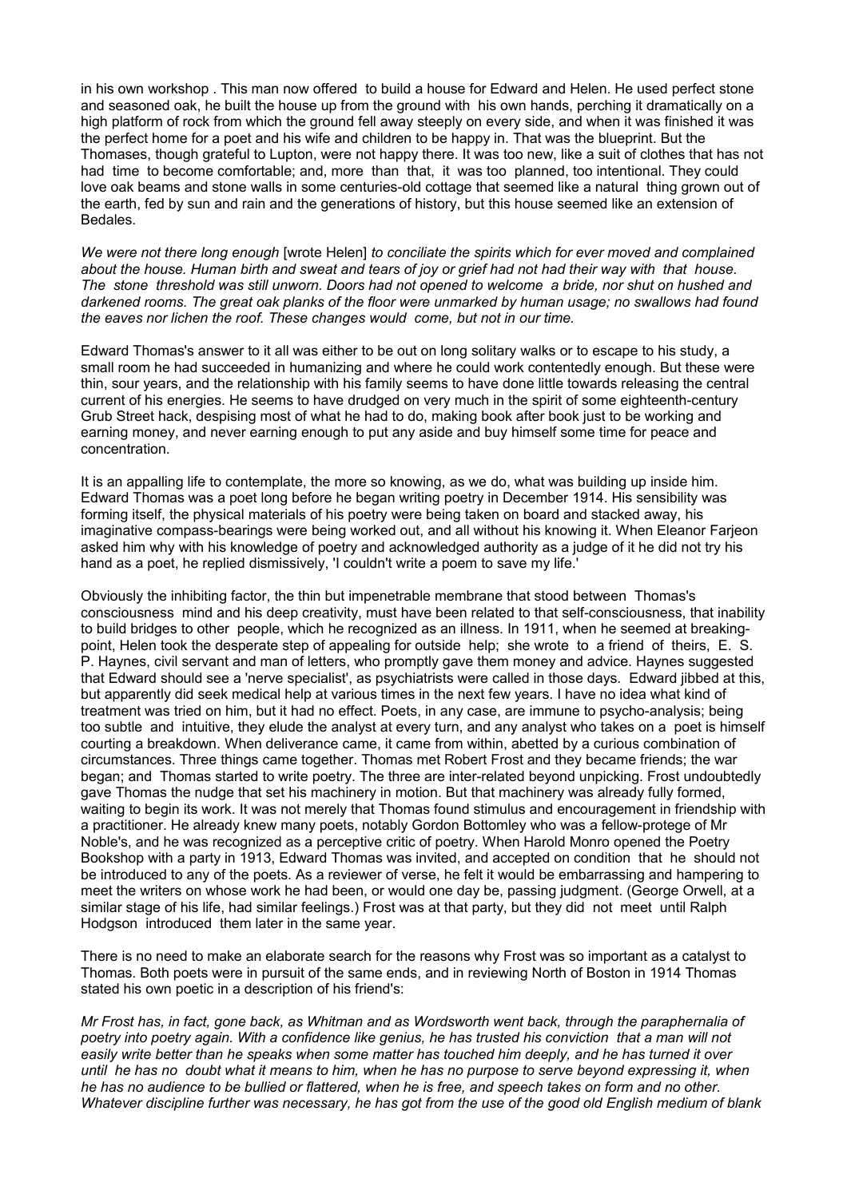in his own workshop . This man now offered to build a house for Edward and Helen. He used perfect stone and seasoned oak, he built the house up from the ground with his own hands, perching it dramatically on a high platform of rock from which the ground fell away steeply on every side, and when it was finished it was the perfect home for a poet and his wife and children to be happy in. That was the blueprint. But the Thomases, though grateful to Lupton, were not happy there. It was too new, like a suit of clothes that has not had time to become comfortable; and, more than that, it was too planned, too intentional. They could love oak beams and stone walls in some centuries-old cottage that seemed like a natural thing grown out of the earth, fed by sun and rain and the generations of history, but this house seemed like an extension of Bedales.

*We were not there long enough* [wrote Helen] *to conciliate the spirits which for ever moved and complained about the house. Human birth and sweat and tears of joy or grief had not had their way with that house. The stone threshold was still unworn. Doors had not opened to welcome a bride, nor shut on hushed and darkened rooms. The great oak planks of the floor were unmarked by human usage; no swallows had found the eaves nor lichen the roof. These changes would come, but not in our time.*

Edward Thomas's answer to it all was either to be out on long solitary walks or to escape to his study, a small room he had succeeded in humanizing and where he could work contentedly enough. But these were thin, sour years, and the relationship with his family seems to have done little towards releasing the central current of his energies. He seems to have drudged on very much in the spirit of some eighteenth-century Grub Street hack, despising most of what he had to do, making book after book just to be working and earning money, and never earning enough to put any aside and buy himself some time for peace and concentration.

It is an appalling life to contemplate, the more so knowing, as we do, what was building up inside him. Edward Thomas was a poet long before he began writing poetry in December 1914. His sensibility was forming itself, the physical materials of his poetry were being taken on board and stacked away, his imaginative compass-bearings were being worked out, and all without his knowing it. When Eleanor Farjeon asked him why with his knowledge of poetry and acknowledged authority as a judge of it he did not try his hand as a poet, he replied dismissively, 'I couldn't write a poem to save my life.'

Obviously the inhibiting factor, the thin but impenetrable membrane that stood between Thomas's consciousness mind and his deep creativity, must have been related to that self-consciousness, that inability to build bridges to other people, which he recognized as an illness. In 1911, when he seemed at breakingpoint, Helen took the desperate step of appealing for outside help; she wrote to a friend of theirs, E. S. P. Haynes, civil servant and man of letters, who promptly gave them money and advice. Haynes suggested that Edward should see a 'nerve specialist', as psychiatrists were called in those days. Edward jibbed at this, but apparently did seek medical help at various times in the next few years. I have no idea what kind of treatment was tried on him, but it had no effect. Poets, in any case, are immune to psycho-analysis; being too subtle and intuitive, they elude the analyst at every turn, and any analyst who takes on a poet is himself courting a breakdown. When deliverance came, it came from within, abetted by a curious combination of circumstances. Three things came together. Thomas met Robert Frost and they became friends; the war began; and Thomas started to write poetry. The three are inter-related beyond unpicking. Frost undoubtedly gave Thomas the nudge that set his machinery in motion. But that machinery was already fully formed, waiting to begin its work. It was not merely that Thomas found stimulus and encouragement in friendship with a practitioner. He already knew many poets, notably Gordon Bottomley who was a fellow-protege of Mr Noble's, and he was recognized as a perceptive critic of poetry. When Harold Monro opened the Poetry Bookshop with a party in 1913, Edward Thomas was invited, and accepted on condition that he should not be introduced to any of the poets. As a reviewer of verse, he felt it would be embarrassing and hampering to meet the writers on whose work he had been, or would one day be, passing judgment. (George Orwell, at a similar stage of his life, had similar feelings.) Frost was at that party, but they did not meet until Ralph Hodgson introduced them later in the same year.

There is no need to make an elaborate search for the reasons why Frost was so important as a catalyst to Thomas. Both poets were in pursuit of the same ends, and in reviewing North of Boston in 1914 Thomas stated his own poetic in a description of his friend's:

*Mr Frost has, in fact, gone back, as Whitman and as Wordsworth went back, through the paraphernalia of poetry into poetry again. With a confidence like genius, he has trusted his conviction that a man will not easily write better than he speaks when some matter has touched him deeply, and he has turned it over until he has no doubt what it means to him, when he has no purpose to serve beyond expressing it, when he has no audience to be bullied or flattered, when he is free, and speech takes on form and no other. Whatever discipline further was necessary, he has got from the use of the good old English medium of blank*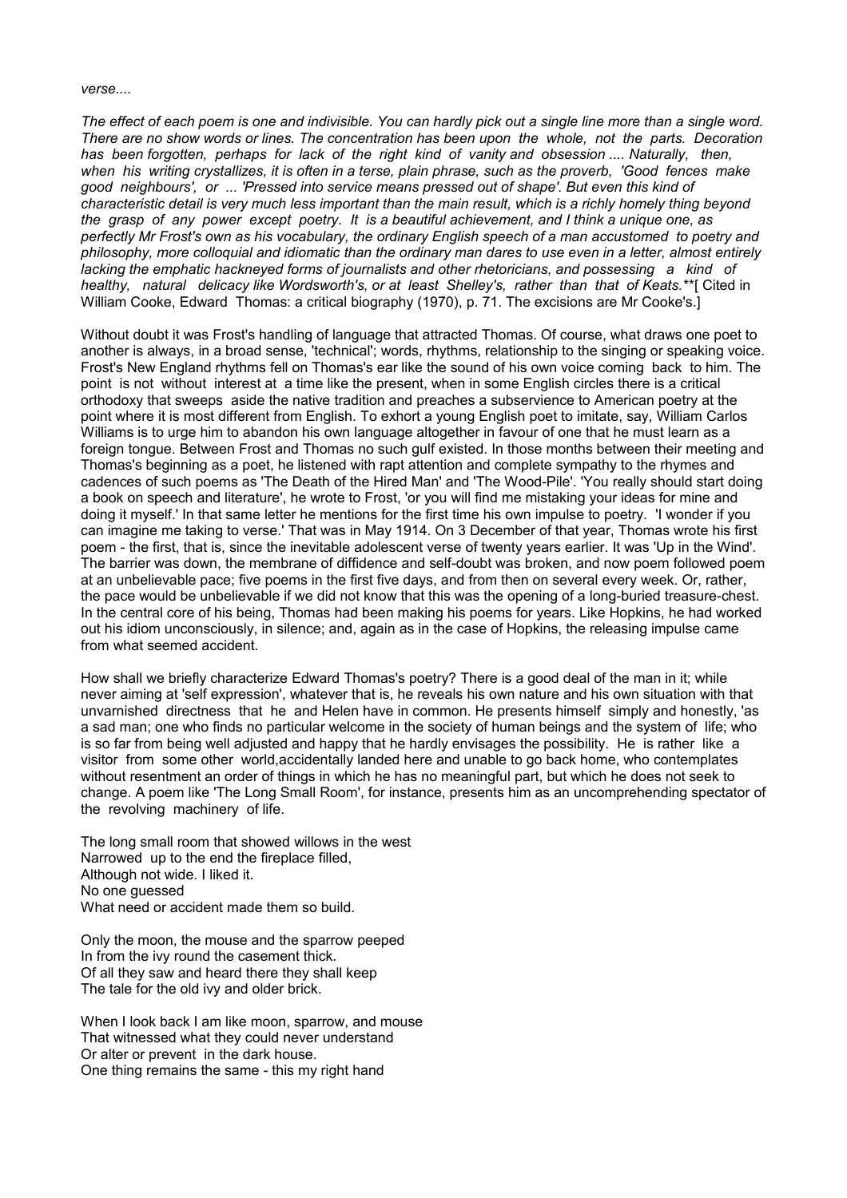*verse....*

*The effect of each poem is one and indivisible. You can hardly pick out a single line more than a single word. There are no show words or lines. The concentration has been upon the whole, not the parts. Decoration has been forgotten, perhaps for lack of the right kind of vanity and obsession .... Naturally, then, when his writing crystallizes, it is often in a terse, plain phrase, such as the proverb, 'Good fences make good neighbours', or ... 'Pressed into service means pressed out of shape'. But even this kind of characteristic detail is very much less important than the main result, which is a richly homely thing beyond the grasp of any power except poetry. It is a beautiful achievement, and I think a unique one, as perfectly Mr Frost's own as his vocabulary, the ordinary English speech of a man accustomed to poetry and philosophy, more colloquial and idiomatic than the ordinary man dares to use even in a letter, almost entirely lacking the emphatic hackneyed forms of journalists and other rhetoricians, and possessing a kind of healthy, natural delicacy like Wordsworth's, or at least Shelley's, rather than that of Keats.*\*\*[ Cited in William Cooke, Edward Thomas: a critical biography (1970), p. 71. The excisions are Mr Cooke's.]

Without doubt it was Frost's handling of language that attracted Thomas. Of course, what draws one poet to another is always, in a broad sense, 'technical'; words, rhythms, relationship to the singing or speaking voice. Frost's New England rhythms fell on Thomas's ear like the sound of his own voice coming back to him. The point is not without interest at a time like the present, when in some English circles there is a critical orthodoxy that sweeps aside the native tradition and preaches a subservience to American poetry at the point where it is most different from English. To exhort a young English poet to imitate, say, William Carlos Williams is to urge him to abandon his own language altogether in favour of one that he must learn as a foreign tongue. Between Frost and Thomas no such gulf existed. In those months between their meeting and Thomas's beginning as a poet, he listened with rapt attention and complete sympathy to the rhymes and cadences of such poems as 'The Death of the Hired Man' and 'The Wood-Pile'. 'You really should start doing a book on speech and literature', he wrote to Frost, 'or you will find me mistaking your ideas for mine and doing it myself.' In that same letter he mentions for the first time his own impulse to poetry. 'I wonder if you can imagine me taking to verse.' That was in May 1914. On 3 December of that year, Thomas wrote his first poem - the first, that is, since the inevitable adolescent verse of twenty years earlier. It was 'Up in the Wind'. The barrier was down, the membrane of diffidence and self-doubt was broken, and now poem followed poem at an unbelievable pace; five poems in the first five days, and from then on several every week. Or, rather, the pace would be unbelievable if we did not know that this was the opening of a long-buried treasure-chest. In the central core of his being, Thomas had been making his poems for years. Like Hopkins, he had worked out his idiom unconsciously, in silence; and, again as in the case of Hopkins, the releasing impulse came from what seemed accident.

How shall we briefly characterize Edward Thomas's poetry? There is a good deal of the man in it; while never aiming at 'self expression', whatever that is, he reveals his own nature and his own situation with that unvarnished directness that he and Helen have in common. He presents himself simply and honestly, 'as a sad man; one who finds no particular welcome in the society of human beings and the system of life; who is so far from being well adjusted and happy that he hardly envisages the possibility. He is rather like a visitor from some other world,accidentally landed here and unable to go back home, who contemplates without resentment an order of things in which he has no meaningful part, but which he does not seek to change. A poem like 'The Long Small Room', for instance, presents him as an uncomprehending spectator of the revolving machinery of life.

The long small room that showed willows in the west Narrowed up to the end the fireplace filled, Although not wide. I liked it. No one guessed What need or accident made them so build.

Only the moon, the mouse and the sparrow peeped In from the ivy round the casement thick. Of all they saw and heard there they shall keep The tale for the old ivy and older brick.

When I look back I am like moon, sparrow, and mouse That witnessed what they could never understand Or alter or prevent in the dark house. One thing remains the same - this my right hand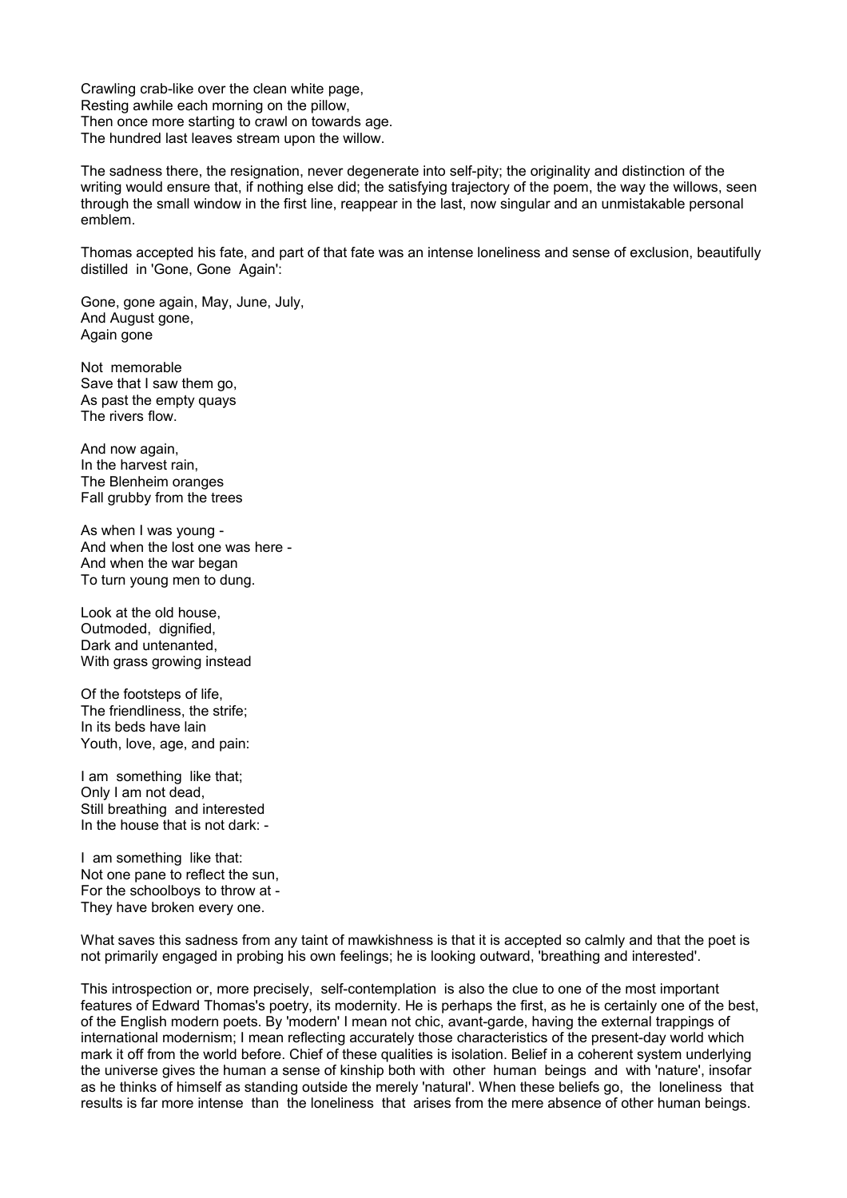Crawling crab-like over the clean white page, Resting awhile each morning on the pillow, Then once more starting to crawl on towards age. The hundred last leaves stream upon the willow.

The sadness there, the resignation, never degenerate into self-pity; the originality and distinction of the writing would ensure that, if nothing else did; the satisfying trajectory of the poem, the way the willows, seen through the small window in the first line, reappear in the last, now singular and an unmistakable personal emblem.

Thomas accepted his fate, and part of that fate was an intense loneliness and sense of exclusion, beautifully distilled in 'Gone, Gone Again':

Gone, gone again, May, June, July, And August gone, Again gone

Not memorable Save that I saw them go, As past the empty quays The rivers flow.

And now again, In the harvest rain, The Blenheim oranges Fall grubby from the trees

As when I was young - And when the lost one was here - And when the war began To turn young men to dung.

Look at the old house, Outmoded, dignified, Dark and untenanted, With grass growing instead

Of the footsteps of life, The friendliness, the strife; In its beds have lain Youth, love, age, and pain:

I am something like that: Only I am not dead, Still breathing and interested In the house that is not dark: -

I am something like that: Not one pane to reflect the sun, For the schoolboys to throw at - They have broken every one.

What saves this sadness from any taint of mawkishness is that it is accepted so calmly and that the poet is not primarily engaged in probing his own feelings; he is looking outward, 'breathing and interested'.

This introspection or, more precisely, self-contemplation is also the clue to one of the most important features of Edward Thomas's poetry, its modernity. He is perhaps the first, as he is certainly one of the best, of the English modern poets. By 'modern' I mean not chic, avant-garde, having the external trappings of international modernism; I mean reflecting accurately those characteristics of the present-day world which mark it off from the world before. Chief of these qualities is isolation. Belief in a coherent system underlying the universe gives the human a sense of kinship both with other human beings and with 'nature', insofar as he thinks of himself as standing outside the merely 'natural'. When these beliefs go, the loneliness that results is far more intense than the loneliness that arises from the mere absence of other human beings.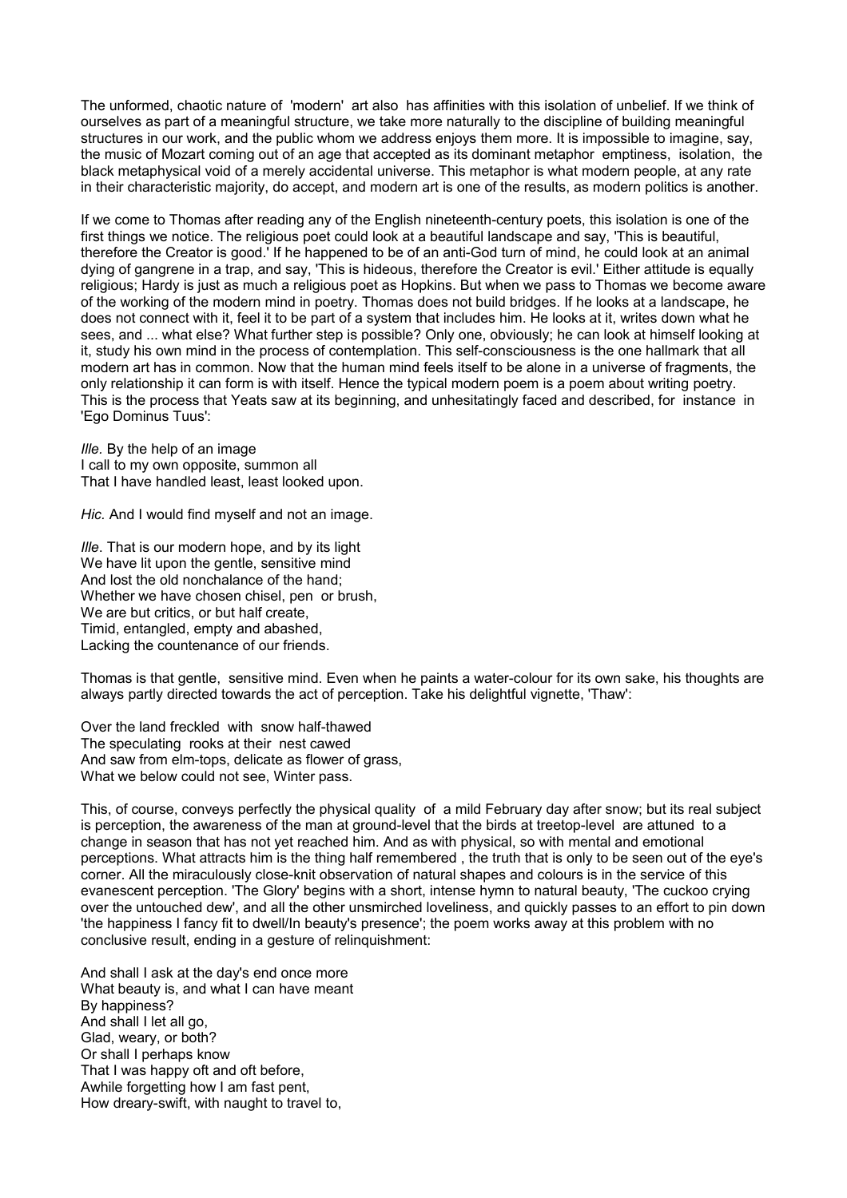The unformed, chaotic nature of 'modern' art also has affinities with this isolation of unbelief. If we think of ourselves as part of a meaningful structure, we take more naturally to the discipline of building meaningful structures in our work, and the public whom we address enjoys them more. It is impossible to imagine, say, the music of Mozart coming out of an age that accepted as its dominant metaphor emptiness, isolation, the black metaphysical void of a merely accidental universe. This metaphor is what modern people, at any rate in their characteristic majority, do accept, and modern art is one of the results, as modern politics is another.

If we come to Thomas after reading any of the English nineteenth-century poets, this isolation is one of the first things we notice. The religious poet could look at a beautiful landscape and say, 'This is beautiful, therefore the Creator is good.' If he happened to be of an anti-God turn of mind, he could look at an animal dying of gangrene in a trap, and say, 'This is hideous, therefore the Creator is evil.' Either attitude is equally religious; Hardy is just as much a religious poet as Hopkins. But when we pass to Thomas we become aware of the working of the modern mind in poetry. Thomas does not build bridges. If he looks at a landscape, he does not connect with it, feel it to be part of a system that includes him. He looks at it, writes down what he sees, and ... what else? What further step is possible? Only one, obviously; he can look at himself looking at it, study his own mind in the process of contemplation. This self-consciousness is the one hallmark that all modern art has in common. Now that the human mind feels itself to be alone in a universe of fragments, the only relationship it can form is with itself. Hence the typical modern poem is a poem about writing poetry. This is the process that Yeats saw at its beginning, and unhesitatingly faced and described, for instance in 'Ego Dominus Tuus':

*Ille.* By the help of an image I call to my own opposite, summon all That I have handled least, least looked upon.

*Hic.* And I would find myself and not an image.

*Ille*. That is our modern hope, and by its light We have lit upon the gentle, sensitive mind And lost the old nonchalance of the hand; Whether we have chosen chisel, pen or brush, We are but critics, or but half create, Timid, entangled, empty and abashed, Lacking the countenance of our friends.

Thomas is that gentle, sensitive mind. Even when he paints a water-colour for its own sake, his thoughts are always partly directed towards the act of perception. Take his delightful vignette, 'Thaw':

Over the land freckled with snow half-thawed The speculating rooks at their nest cawed And saw from elm-tops, delicate as flower of grass, What we below could not see, Winter pass.

This, of course, conveys perfectly the physical quality of a mild February day after snow; but its real subject is perception, the awareness of the man at ground-level that the birds at treetop-level are attuned to a change in season that has not yet reached him. And as with physical, so with mental and emotional perceptions. What attracts him is the thing half remembered , the truth that is only to be seen out of the eye's corner. All the miraculously close-knit observation of natural shapes and colours is in the service of this evanescent perception. 'The Glory' begins with a short, intense hymn to natural beauty, 'The cuckoo crying over the untouched dew', and all the other unsmirched loveliness, and quickly passes to an effort to pin down 'the happiness I fancy fit to dwell/In beauty's presence'; the poem works away at this problem with no conclusive result, ending in a gesture of relinquishment:

And shall I ask at the day's end once more What beauty is, and what I can have meant By happiness? And shall I let all go, Glad, weary, or both? Or shall I perhaps know That I was happy oft and oft before, Awhile forgetting how I am fast pent, How dreary-swift, with naught to travel to,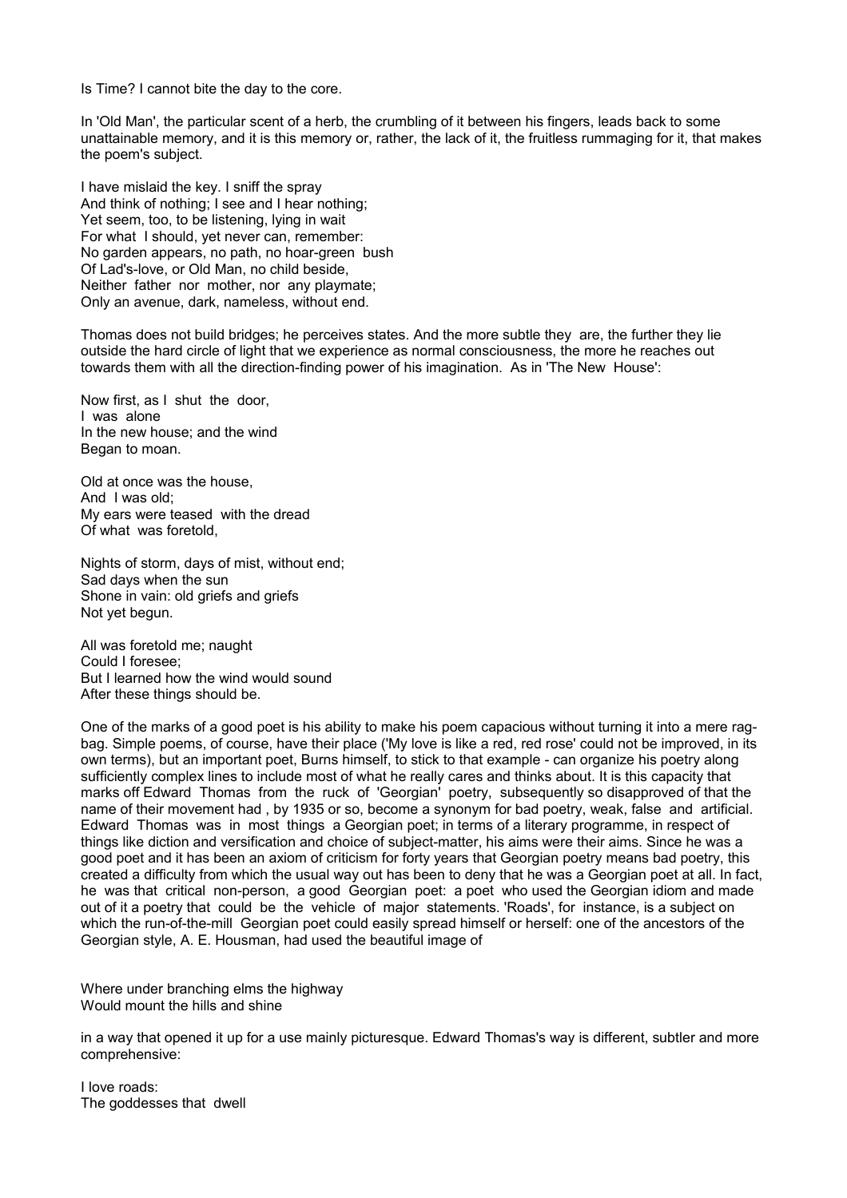Is Time? I cannot bite the day to the core.

In 'Old Man', the particular scent of a herb, the crumbling of it between his fingers, leads back to some unattainable memory, and it is this memory or, rather, the lack of it, the fruitless rummaging for it, that makes the poem's subject.

I have mislaid the key. I sniff the spray And think of nothing; I see and I hear nothing; Yet seem, too, to be listening, lying in wait For what I should, yet never can, remember: No garden appears, no path, no hoar-green bush Of Lad's-love, or Old Man, no child beside, Neither father nor mother, nor any playmate; Only an avenue, dark, nameless, without end.

Thomas does not build bridges; he perceives states. And the more subtle they are, the further they lie outside the hard circle of light that we experience as normal consciousness, the more he reaches out towards them with all the direction-finding power of his imagination. As in 'The New House':

Now first, as I shut the door, I was alone In the new house; and the wind Began to moan.

Old at once was the house, And I was old; My ears were teased with the dread Of what was foretold,

Nights of storm, days of mist, without end; Sad days when the sun Shone in vain: old griefs and griefs Not yet begun.

All was foretold me; naught Could I foresee; But I learned how the wind would sound After these things should be.

One of the marks of a good poet is his ability to make his poem capacious without turning it into a mere ragbag. Simple poems, of course, have their place ('My love is like a red, red rose' could not be improved, in its own terms), but an important poet, Burns himself, to stick to that example - can organize his poetry along sufficiently complex lines to include most of what he really cares and thinks about. It is this capacity that marks off Edward Thomas from the ruck of 'Georgian' poetry, subsequently so disapproved of that the name of their movement had , by 1935 or so, become a synonym for bad poetry, weak, false and artificial. Edward Thomas was in most things a Georgian poet; in terms of a literary programme, in respect of things like diction and versification and choice of subject-matter, his aims were their aims. Since he was a good poet and it has been an axiom of criticism for forty years that Georgian poetry means bad poetry, this created a difficulty from which the usual way out has been to deny that he was a Georgian poet at all. In fact, he was that critical non-person, a good Georgian poet: a poet who used the Georgian idiom and made out of it a poetry that could be the vehicle of major statements. 'Roads', for instance, is a subject on which the run-of-the-mill Georgian poet could easily spread himself or herself: one of the ancestors of the Georgian style, A. E. Housman, had used the beautiful image of

Where under branching elms the highway Would mount the hills and shine

in a way that opened it up for a use mainly picturesque. Edward Thomas's way is different, subtler and more comprehensive:

I love roads: The goddesses that dwell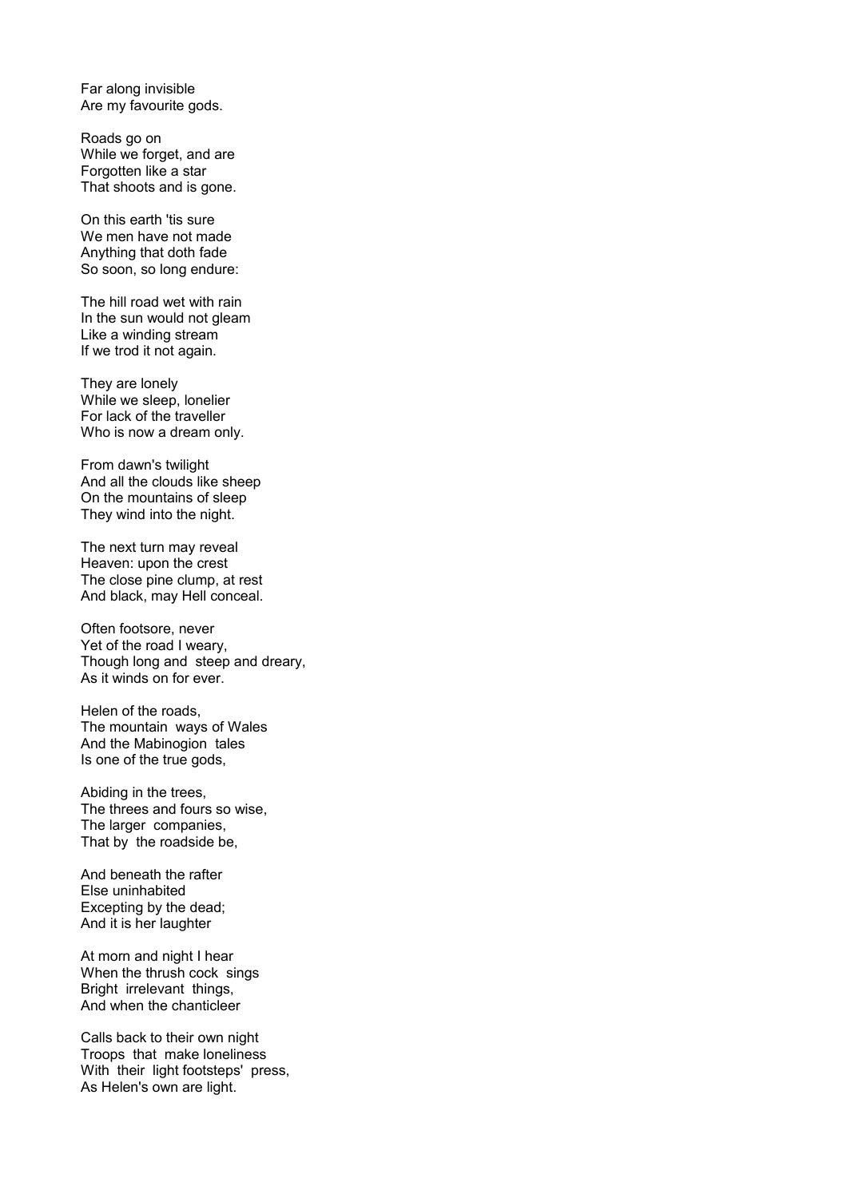Far along invisible Are my favourite gods.

Roads go on While we forget, and are Forgotten like a star That shoots and is gone.

On this earth 'tis sure We men have not made Anything that doth fade So soon, so long endure:

The hill road wet with rain In the sun would not gleam Like a winding stream If we trod it not again.

They are lonely While we sleep, lonelier For lack of the traveller Who is now a dream only.

From dawn's twilight And all the clouds like sheep On the mountains of sleep They wind into the night.

The next turn may reveal Heaven: upon the crest The close pine clump, at rest And black, may Hell conceal.

Often footsore, never Yet of the road I weary, Though long and steep and dreary, As it winds on for ever.

Helen of the roads, The mountain ways of Wales And the Mabinogion tales Is one of the true gods,

Abiding in the trees, The threes and fours so wise, The larger companies, That by the roadside be,

And beneath the rafter Else uninhabited Excepting by the dead; And it is her laughter

At morn and night I hear When the thrush cock sings Bright irrelevant things, And when the chanticleer

Calls back to their own night Troops that make loneliness With their light footsteps' press, As Helen's own are light.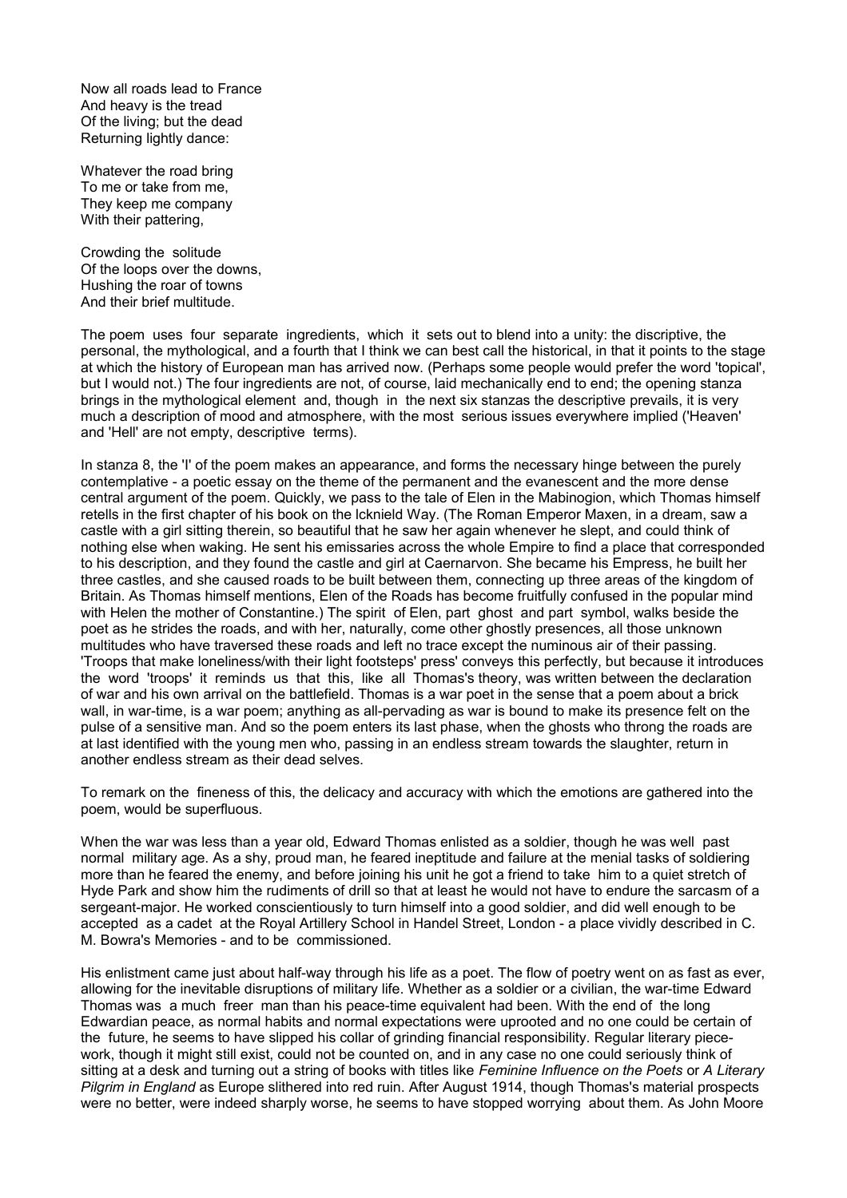Now all roads lead to France And heavy is the tread Of the living; but the dead Returning lightly dance:

Whatever the road bring To me or take from me, They keep me company With their pattering,

Crowding the solitude Of the loops over the downs, Hushing the roar of towns And their brief multitude.

The poem uses four separate ingredients, which it sets out to blend into a unity: the discriptive, the personal, the mythological, and a fourth that I think we can best call the historical, in that it points to the stage at which the history of European man has arrived now. (Perhaps some people would prefer the word 'topical', but I would not.) The four ingredients are not, of course, laid mechanically end to end; the opening stanza brings in the mythological element and, though in the next six stanzas the descriptive prevails, it is very much a description of mood and atmosphere, with the most serious issues everywhere implied ('Heaven' and 'Hell' are not empty, descriptive terms).

In stanza 8, the 'I' of the poem makes an appearance, and forms the necessary hinge between the purely contemplative - a poetic essay on the theme of the permanent and the evanescent and the more dense central argument of the poem. Quickly, we pass to the tale of Elen in the Mabinogion, which Thomas himself retells in the first chapter of his book on the lcknield Way. (The Roman Emperor Maxen, in a dream, saw a castle with a girl sitting therein, so beautiful that he saw her again whenever he slept, and could think of nothing else when waking. He sent his emissaries across the whole Empire to find a place that corresponded to his description, and they found the castle and girl at Caernarvon. She became his Empress, he built her three castles, and she caused roads to be built between them, connecting up three areas of the kingdom of Britain. As Thomas himself mentions, Elen of the Roads has become fruitfully confused in the popular mind with Helen the mother of Constantine.) The spirit of Elen, part ghost and part symbol, walks beside the poet as he strides the roads, and with her, naturally, come other ghostly presences, all those unknown multitudes who have traversed these roads and left no trace except the numinous air of their passing. 'Troops that make loneliness/with their light footsteps' press' conveys this perfectly, but because it introduces the word 'troops' it reminds us that this, like all Thomas's theory, was written between the declaration of war and his own arrival on the battlefield. Thomas is a war poet in the sense that a poem about a brick wall, in war-time, is a war poem; anything as all-pervading as war is bound to make its presence felt on the pulse of a sensitive man. And so the poem enters its last phase, when the ghosts who throng the roads are at last identified with the young men who, passing in an endless stream towards the slaughter, return in another endless stream as their dead selves.

To remark on the fineness of this, the delicacy and accuracy with which the emotions are gathered into the poem, would be superfluous.

When the war was less than a year old, Edward Thomas enlisted as a soldier, though he was well past normal military age. As a shy, proud man, he feared ineptitude and failure at the menial tasks of soldiering more than he feared the enemy, and before joining his unit he got a friend to take him to a quiet stretch of Hyde Park and show him the rudiments of drill so that at least he would not have to endure the sarcasm of a sergeant-major. He worked conscientiously to turn himself into a good soldier, and did well enough to be accepted as a cadet at the Royal Artillery School in Handel Street, London - a place vividly described in C. M. Bowra's Memories - and to be commissioned.

His enlistment came just about half-way through his life as a poet. The flow of poetry went on as fast as ever, allowing for the inevitable disruptions of military life. Whether as a soldier or a civilian, the war-time Edward Thomas was a much freer man than his peace-time equivalent had been. With the end of the long Edwardian peace, as normal habits and normal expectations were uprooted and no one could be certain of the future, he seems to have slipped his collar of grinding financial responsibility. Regular literary piecework, though it might still exist, could not be counted on, and in any case no one could seriously think of sitting at a desk and turning out a string of books with titles like *Feminine Influence on the Poets* or *A Literary Pilgrim in England* as Europe slithered into red ruin. After August 1914, though Thomas's material prospects were no better, were indeed sharply worse, he seems to have stopped worrying about them. As John Moore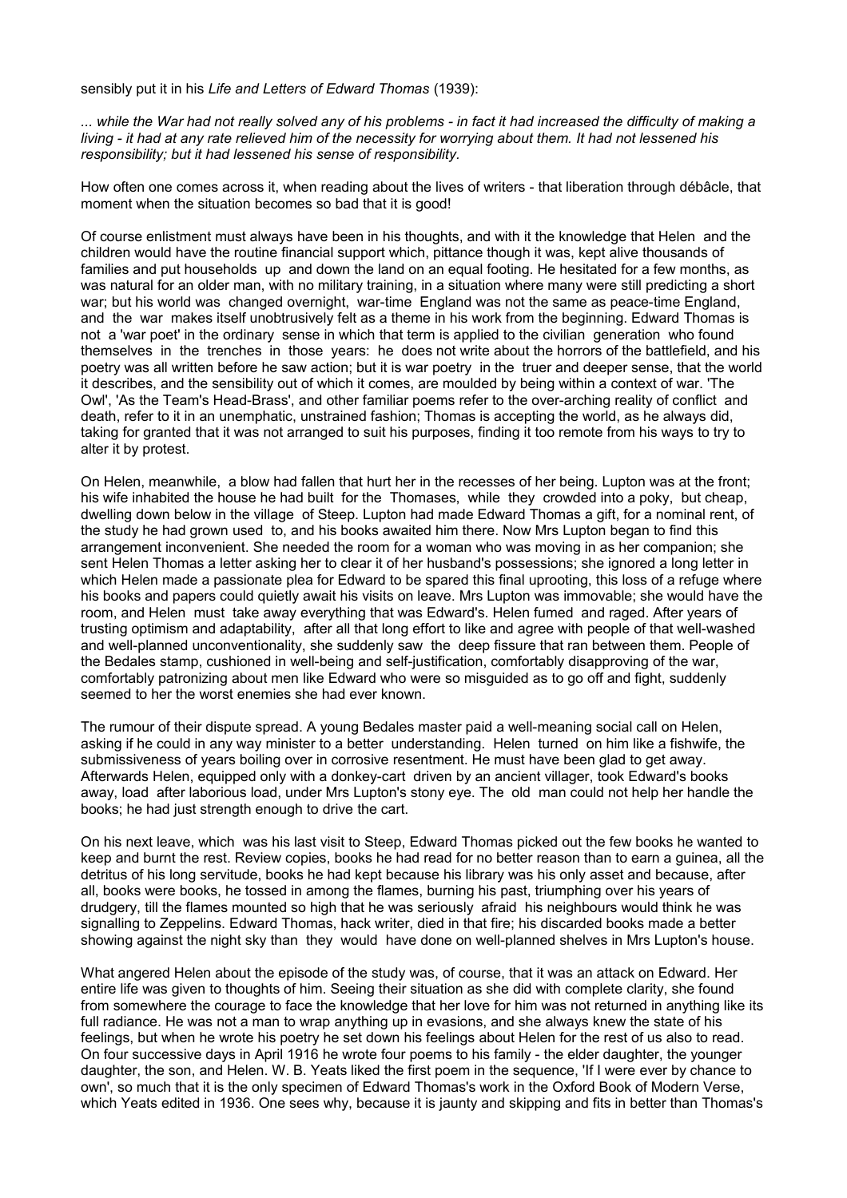sensibly put it in his *Life and Letters of Edward Thomas* (1939):

*... while the War had not really solved any of his problems - in fact it had increased the difficulty of making a living - it had at any rate relieved him of the necessity for worrying about them. It had not lessened his responsibility; but it had lessened his sense of responsibility.*

How often one comes across it, when reading about the lives of writers - that liberation through débâcle, that moment when the situation becomes so bad that it is good!

Of course enlistment must always have been in his thoughts, and with it the knowledge that Helen and the children would have the routine financial support which, pittance though it was, kept alive thousands of families and put households up and down the land on an equal footing. He hesitated for a few months, as was natural for an older man, with no military training, in a situation where many were still predicting a short war; but his world was changed overnight, war-time England was not the same as peace-time England, and the war makes itself unobtrusively felt as a theme in his work from the beginning. Edward Thomas is not a 'war poet' in the ordinary sense in which that term is applied to the civilian generation who found themselves in the trenches in those years: he does not write about the horrors of the battlefield, and his poetry was all written before he saw action; but it is war poetry in the truer and deeper sense, that the world it describes, and the sensibility out of which it comes, are moulded by being within a context of war. 'The Owl', 'As the Team's Head-Brass', and other familiar poems refer to the over-arching reality of conflict and death, refer to it in an unemphatic, unstrained fashion; Thomas is accepting the world, as he always did, taking for granted that it was not arranged to suit his purposes, finding it too remote from his ways to try to alter it by protest.

On Helen, meanwhile, a blow had fallen that hurt her in the recesses of her being. Lupton was at the front; his wife inhabited the house he had built for the Thomases, while they crowded into a poky, but cheap, dwelling down below in the village of Steep. Lupton had made Edward Thomas a gift, for a nominal rent, of the study he had grown used to, and his books awaited him there. Now Mrs Lupton began to find this arrangement inconvenient. She needed the room for a woman who was moving in as her companion; she sent Helen Thomas a letter asking her to clear it of her husband's possessions; she ignored a long letter in which Helen made a passionate plea for Edward to be spared this final uprooting, this loss of a refuge where his books and papers could quietly await his visits on leave. Mrs Lupton was immovable; she would have the room, and Helen must take away everything that was Edward's. Helen fumed and raged. After years of trusting optimism and adaptability, after all that long effort to like and agree with people of that well-washed and well-planned unconventionality, she suddenly saw the deep fissure that ran between them. People of the Bedales stamp, cushioned in well-being and self-justification, comfortably disapproving of the war, comfortably patronizing about men like Edward who were so misguided as to go off and fight, suddenly seemed to her the worst enemies she had ever known.

The rumour of their dispute spread. A young Bedales master paid a well-meaning social call on Helen, asking if he could in any way minister to a better understanding. Helen turned on him like a fishwife, the submissiveness of years boiling over in corrosive resentment. He must have been glad to get away. Afterwards Helen, equipped only with a donkey-cart driven by an ancient villager, took Edward's books away, load after laborious load, under Mrs Lupton's stony eye. The old man could not help her handle the books; he had just strength enough to drive the cart.

On his next leave, which was his last visit to Steep, Edward Thomas picked out the few books he wanted to keep and burnt the rest. Review copies, books he had read for no better reason than to earn a guinea, all the detritus of his long servitude, books he had kept because his library was his only asset and because, after all, books were books, he tossed in among the flames, burning his past, triumphing over his years of drudgery, till the flames mounted so high that he was seriously afraid his neighbours would think he was signalling to Zeppelins. Edward Thomas, hack writer, died in that fire; his discarded books made a better showing against the night sky than they would have done on well-planned shelves in Mrs Lupton's house.

What angered Helen about the episode of the study was, of course, that it was an attack on Edward. Her entire life was given to thoughts of him. Seeing their situation as she did with complete clarity, she found from somewhere the courage to face the knowledge that her love for him was not returned in anything like its full radiance. He was not a man to wrap anything up in evasions, and she always knew the state of his feelings, but when he wrote his poetry he set down his feelings about Helen for the rest of us also to read. On four successive days in April 1916 he wrote four poems to his family - the elder daughter, the younger daughter, the son, and Helen. W. B. Yeats liked the first poem in the sequence, 'If I were ever by chance to own', so much that it is the only specimen of Edward Thomas's work in the Oxford Book of Modern Verse, which Yeats edited in 1936. One sees why, because it is jaunty and skipping and fits in better than Thomas's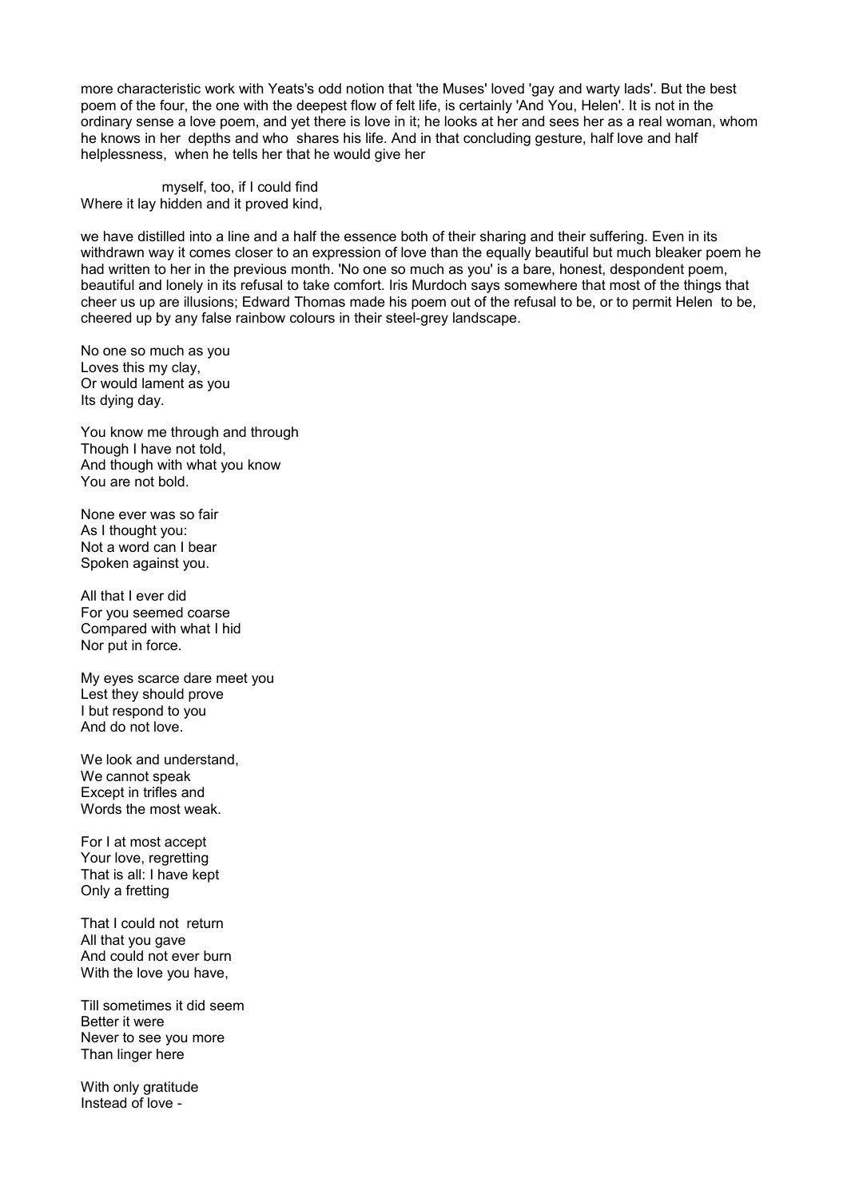more characteristic work with Yeats's odd notion that 'the Muses' loved 'gay and warty lads'. But the best poem of the four, the one with the deepest flow of felt life, is certainly 'And You, Helen'. It is not in the ordinary sense a love poem, and yet there is love in it; he looks at her and sees her as a real woman, whom he knows in her depths and who shares his life. And in that concluding gesture, half love and half helplessness, when he tells her that he would give her

myself, too, if I could find Where it lay hidden and it proved kind,

we have distilled into a line and a half the essence both of their sharing and their suffering. Even in its withdrawn way it comes closer to an expression of love than the equally beautiful but much bleaker poem he had written to her in the previous month. 'No one so much as you' is a bare, honest, despondent poem, beautiful and lonely in its refusal to take comfort. Iris Murdoch says somewhere that most of the things that cheer us up are illusions; Edward Thomas made his poem out of the refusal to be, or to permit Helen to be, cheered up by any false rainbow colours in their steel-grey landscape.

No one so much as you Loves this my clay, Or would lament as you Its dying day.

You know me through and through Though I have not told, And though with what you know You are not bold.

None ever was so fair As I thought you: Not a word can I bear Spoken against you.

All that I ever did For you seemed coarse Compared with what I hid Nor put in force.

My eyes scarce dare meet you Lest they should prove I but respond to you And do not love.

We look and understand, We cannot speak Except in trifles and Words the most weak.

For I at most accept Your love, regretting That is all: I have kept Only a fretting

That I could not return All that you gave And could not ever burn With the love you have,

Till sometimes it did seem Better it were Never to see you more Than linger here

With only gratitude Instead of love -